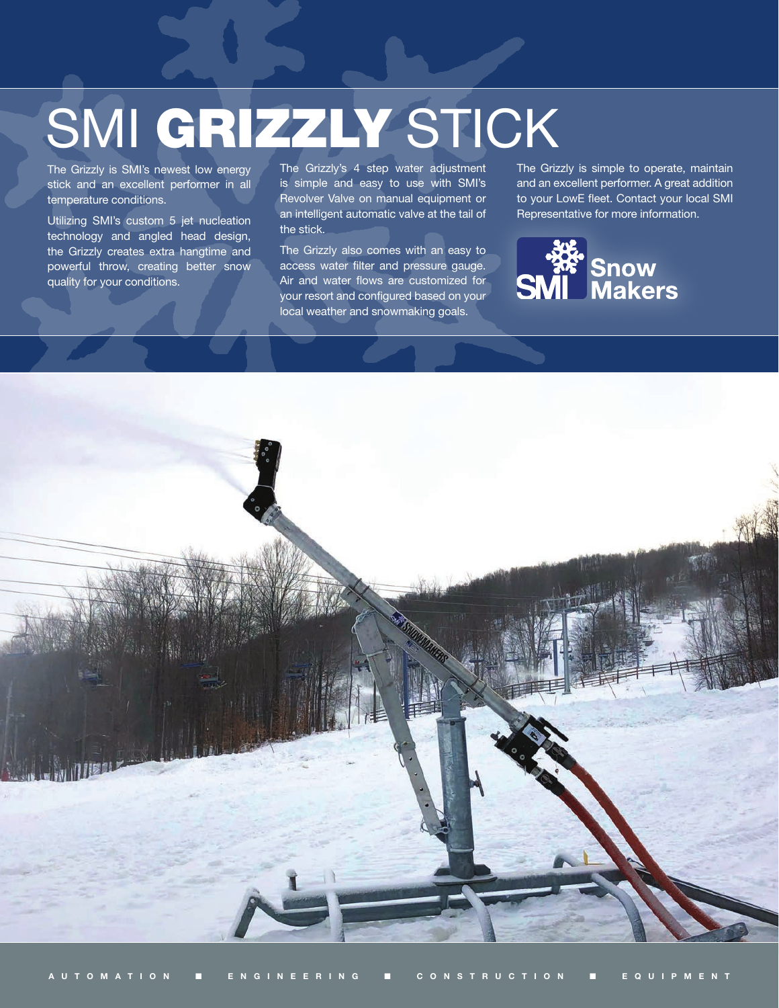# SMI GRIZZLY STICK

The Grizzly is SMI's newest low energy stick and an excellent performer in all temperature conditions.

Utilizing SMI's custom 5 jet nucleation technology and angled head design, the Grizzly creates extra hangtime and powerful throw, creating better snow quality for your conditions.

The Grizzly's 4 step water adjustment is simple and easy to use with SMI's Revolver Valve on manual equipment or an intelligent automatic valve at the tail of the stick.

The Grizzly also comes with an easy to access water filter and pressure gauge. Air and water flows are customized for your resort and configured based on your local weather and snowmaking goals.

The Grizzly is simple to operate, maintain and an excellent performer. A great addition to your LowE fleet. Contact your local SMI Representative for more information.